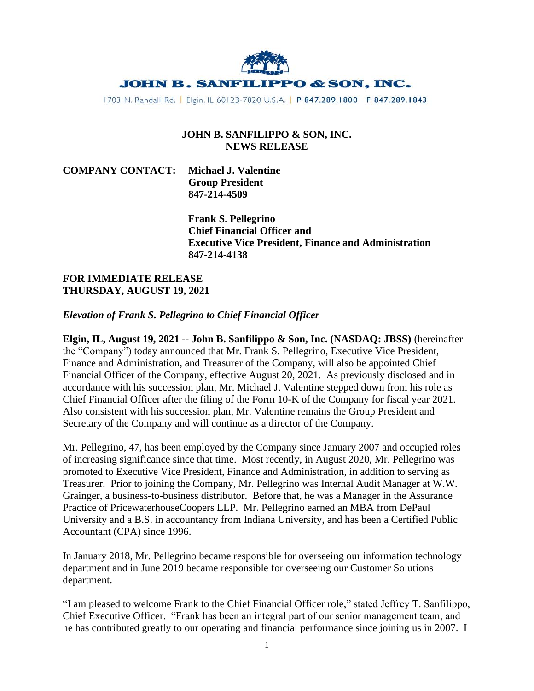

1703 N. Randall Rd. | Elgin, IL 60123-7820 U.S.A. | P 847.289.1800 F 847.289.1843

## **JOHN B. SANFILIPPO & SON, INC. NEWS RELEASE**

**COMPANY CONTACT: Michael J. Valentine Group President 847-214-4509**

> **Frank S. Pellegrino Chief Financial Officer and Executive Vice President, Finance and Administration 847-214-4138**

## **FOR IMMEDIATE RELEASE THURSDAY, AUGUST 19, 2021**

## *Elevation of Frank S. Pellegrino to Chief Financial Officer*

**Elgin, IL, August 19, 2021 -- John B. Sanfilippo & Son, Inc. (NASDAQ: JBSS)** (hereinafter the "Company") today announced that Mr. Frank S. Pellegrino, Executive Vice President, Finance and Administration, and Treasurer of the Company, will also be appointed Chief Financial Officer of the Company, effective August 20, 2021. As previously disclosed and in accordance with his succession plan, Mr. Michael J. Valentine stepped down from his role as Chief Financial Officer after the filing of the Form 10-K of the Company for fiscal year 2021. Also consistent with his succession plan, Mr. Valentine remains the Group President and Secretary of the Company and will continue as a director of the Company.

Mr. Pellegrino, 47, has been employed by the Company since January 2007 and occupied roles of increasing significance since that time. Most recently, in August 2020, Mr. Pellegrino was promoted to Executive Vice President, Finance and Administration, in addition to serving as Treasurer. Prior to joining the Company, Mr. Pellegrino was Internal Audit Manager at W.W. Grainger, a business-to-business distributor. Before that, he was a Manager in the Assurance Practice of PricewaterhouseCoopers LLP. Mr. Pellegrino earned an MBA from DePaul University and a B.S. in accountancy from Indiana University, and has been a Certified Public Accountant (CPA) since 1996.

In January 2018, Mr. Pellegrino became responsible for overseeing our information technology department and in June 2019 became responsible for overseeing our Customer Solutions department.

"I am pleased to welcome Frank to the Chief Financial Officer role," stated Jeffrey T. Sanfilippo, Chief Executive Officer. "Frank has been an integral part of our senior management team, and he has contributed greatly to our operating and financial performance since joining us in 2007. I